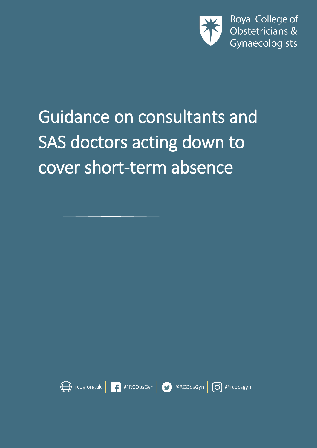

# Guidance on consultants and SAS doctors acting down to cover short-term absence

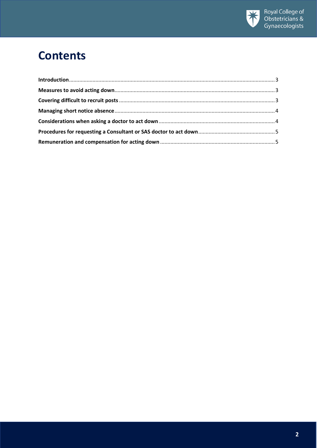

## **Contents**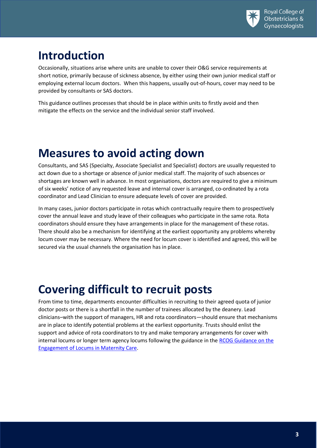

## <span id="page-2-0"></span>**Introduction**

Occasionally, situations arise where units are unable to cover their O&G service requirements at short notice, primarily because of sickness absence, by either using their own junior medical staff or employing external locum doctors. When this happens, usually out-of-hours, cover may need to be provided by consultants or SAS doctors.

This guidance outlines processes that should be in place within units to firstly avoid and then mitigate the effects on the service and the individual senior staff involved.

#### <span id="page-2-1"></span>**Measures to avoid acting down**

Consultants, and SAS (Specialty, Associate Specialist and Specialist) doctors are usually requested to act down due to a shortage or absence of junior medical staff. The majority of such absences or shortages are known well in advance. In most organisations, doctors are required to give a minimum of six weeks' notice of any requested leave and internal cover is arranged, co-ordinated by a rota coordinator and Lead Clinician to ensure adequate levels of cover are provided.

In many cases, junior doctors participate in rotas which contractually require them to prospectively cover the annual leave and study leave of their colleagues who participate in the same rota. Rota coordinators should ensure they have arrangements in place for the management of these rotas. There should also be a mechanism for identifying at the earliest opportunity any problems whereby locum cover may be necessary. Where the need for locum cover is identified and agreed, this will be secured via the usual channels the organisation has in place.

#### <span id="page-2-2"></span>**Covering difficult to recruit posts**

From time to time, departments encounter difficulties in recruiting to their agreed quota of junior doctor posts or there is a shortfall in the number of trainees allocated by the deanery. Lead clinicians–with the support of managers, HR and rota coordinators—should ensure that mechanisms are in place to identify potential problems at the earliest opportunity. Trusts should enlist the support and advice of rota coordinators to try and make temporary arrangements for cover with internal locums or longer term agency locums following the guidance in th[e RCOG Guidance on the](https://www.rcog.org.uk/en/careers-training/workplace-workforce-issues/safe-staffing)  [Engagement of Locums in](https://www.rcog.org.uk/en/careers-training/workplace-workforce-issues/safe-staffing) Maternity Care.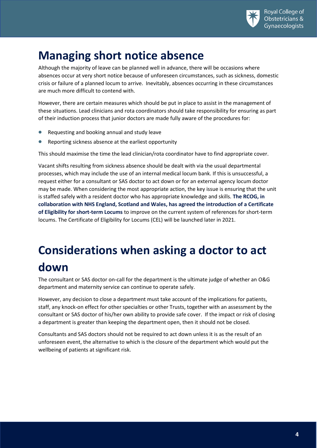

## <span id="page-3-0"></span>**Managing short notice absence**

Although the majority of leave can be planned well in advance, there will be occasions where absences occur at very short notice because of unforeseen circumstances, such as sickness, domestic crisis or failure of a planned locum to arrive. Inevitably, absences occurring in these circumstances are much more difficult to contend with.

However, there are certain measures which should be put in place to assist in the management of these situations. Lead clinicians and rota coordinators should take responsibility for ensuring as part of their induction process that junior doctors are made fully aware of the procedures for:

- Requesting and booking annual and study leave
- Reporting sickness absence at the earliest opportunity

This should maximise the time the lead clinician/rota coordinator have to find appropriate cover.

Vacant shifts resulting from sickness absence should be dealt with via the usual departmental processes, which may include the use of an internal medical locum bank. If this is unsuccessful, a request either for a consultant or SAS doctor to act down or for an external agency locum doctor may be made. When considering the most appropriate action, the key issue is ensuring that the unit is staffed safely with a resident doctor who has appropriate knowledge and skills. **The RCOG, in collaboration with NHS England, Scotland and Wales, has agreed the introduction of a Certificate of Eligibility for short-term Locums** to improve on the current system of references for short-term locums. The Certificate of Eligibility for Locums (CEL) will be launched later in 2021.

# <span id="page-3-1"></span>**Considerations when asking a doctor to act down**

The consultant or SAS doctor on-call for the department is the ultimate judge of whether an O&G department and maternity service can continue to operate safely.

However, any decision to close a department must take account of the implications for patients, staff, any knock-on effect for other specialties or other Trusts, together with an assessment by the consultant or SAS doctor of his/her own ability to provide safe cover. If the impact or risk of closing a department is greater than keeping the department open, then it should not be closed.

Consultants and SAS doctors should not be required to act down unless it is as the result of an unforeseen event, the alternative to which is the closure of the department which would put the wellbeing of patients at significant risk.